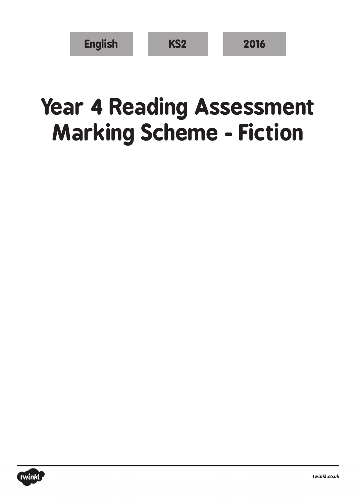| <b>English</b> | KS <sub>2</sub> | 2016 |
|----------------|-----------------|------|
|----------------|-----------------|------|

## **Year 4 Reading Assessment Marking Scheme - Fiction**

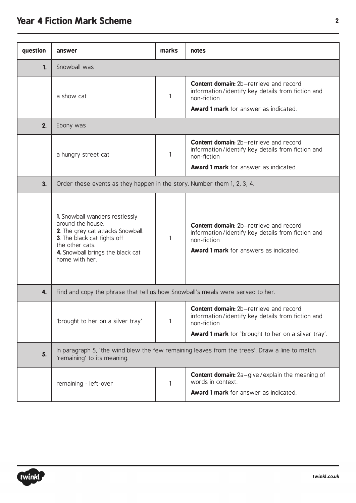## **Year 4 Fiction Mark Scheme <sup>2</sup>**

| question | answer                                                                                                                                                                                           | marks | notes                                                                                                                                                              |  |  |
|----------|--------------------------------------------------------------------------------------------------------------------------------------------------------------------------------------------------|-------|--------------------------------------------------------------------------------------------------------------------------------------------------------------------|--|--|
| 1.       | Snowball was                                                                                                                                                                                     |       |                                                                                                                                                                    |  |  |
|          | a show cat                                                                                                                                                                                       | 1     | <b>Content domain:</b> 2b-retrieve and record<br>information/identify key details from fiction and<br>non-fiction                                                  |  |  |
|          |                                                                                                                                                                                                  |       | <b>Award 1 mark</b> for answer as indicated.                                                                                                                       |  |  |
| 2.       | Ebony was                                                                                                                                                                                        |       |                                                                                                                                                                    |  |  |
|          | a hungry street cat                                                                                                                                                                              | 1     | <b>Content domain:</b> 2b-retrieve and record<br>information/identify key details from fiction and<br>non-fiction                                                  |  |  |
|          |                                                                                                                                                                                                  |       | <b>Award 1 mark</b> for answer as indicated.                                                                                                                       |  |  |
| 3.       | Order these events as they happen in the story. Number them 1, 2, 3, 4.                                                                                                                          |       |                                                                                                                                                                    |  |  |
|          | 1. Snowball wanders restlessly<br>around the house.<br>2. The grey cat attacks Snowball.<br>3. The black cat fights off<br>the other cats.<br>4. Snowball brings the black cat<br>home with her. | 1     | <b>Content domain:</b> 2b-retrieve and record<br>information/identify key details from fiction and<br>non-fiction<br><b>Award 1 mark</b> for answers as indicated. |  |  |
| 4.       | Find and copy the phrase that tell us how Snowball's meals were served to her.                                                                                                                   |       |                                                                                                                                                                    |  |  |
|          | 'brought to her on a silver tray'                                                                                                                                                                | 1     | Content domain: 2b-retrieve and record<br>information/identify key details from fiction and<br>non-fiction<br>Award 1 mark for 'brought to her on a silver tray'.  |  |  |
| 5.       | In paragraph 5, 'the wind blew the few remaining leaves from the trees'. Draw a line to match<br>'remaining' to its meaning.                                                                     |       |                                                                                                                                                                    |  |  |
|          | remaining - left-over                                                                                                                                                                            | 1     | <b>Content domain:</b> 2a-give/explain the meaning of<br>words in context.<br><b>Award 1 mark</b> for answer as indicated.                                         |  |  |

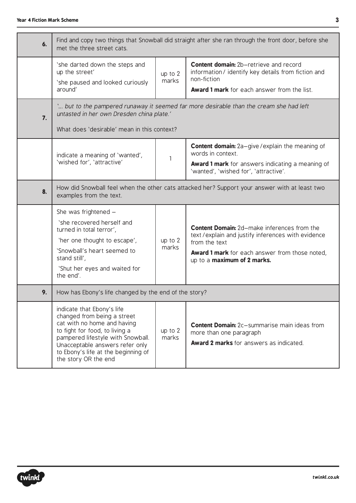| 6. | Find and copy two things that Snowball did straight after she ran through the front door, before she<br>met the three street cats.                                                                                                                                |                  |                                                                                                                                                                                                                  |
|----|-------------------------------------------------------------------------------------------------------------------------------------------------------------------------------------------------------------------------------------------------------------------|------------------|------------------------------------------------------------------------------------------------------------------------------------------------------------------------------------------------------------------|
|    | 'she darted down the steps and<br>up the street'<br>'she paused and looked curiously<br>around'                                                                                                                                                                   | up to 2<br>marks | <b>Content domain:</b> 2b-retrieve and record<br>information/identify key details from fiction and<br>non-fiction<br><b>Award 1 mark</b> for each answer from the list.                                          |
| 7. | ' but to the pampered runaway it seemed far more desirable than the cream she had left<br>untasted in her own Dresden china plate.'<br>What does 'desirable' mean in this context?                                                                                |                  |                                                                                                                                                                                                                  |
|    | indicate a meaning of 'wanted',<br>'wished for', 'attractive'                                                                                                                                                                                                     | 1                | <b>Content domain:</b> 2a-give/explain the meaning of<br>words in context.<br><b>Award 1 mark</b> for answers indicating a meaning of<br>'wanted', 'wished for', 'attractive'.                                   |
| 8. | How did Snowball feel when the other cats attacked her? Support your answer with at least two<br>examples from the text.                                                                                                                                          |                  |                                                                                                                                                                                                                  |
|    | She was frightened -<br>'she recovered herself and<br>turned in total terror',<br>'her one thought to escape',<br>'Snowball's heart seemed to<br>stand still',<br>'Shut her eyes and waited for<br>the end'.                                                      | up to 2<br>marks | <b>Content Domain:</b> 2d-make inferences from the<br>text/explain and justify inferences with evidence<br>from the text<br><b>Award 1 mark</b> for each answer from those noted,<br>up to a maximum of 2 marks. |
| 9. | How has Ebony's life changed by the end of the story?                                                                                                                                                                                                             |                  |                                                                                                                                                                                                                  |
|    | indicate that Ebony's life<br>changed from being a street<br>cat with no home and having<br>to fight for food, to living a<br>pampered lifestyle with Snowball.<br>Unacceptable answers refer only<br>to Ebony's life at the beginning of<br>the story OR the end | up to 2<br>marks | <b>Content Domain:</b> 2c-summarise main ideas from<br>more than one paragraph<br><b>Award 2 marks</b> for answers as indicated.                                                                                 |